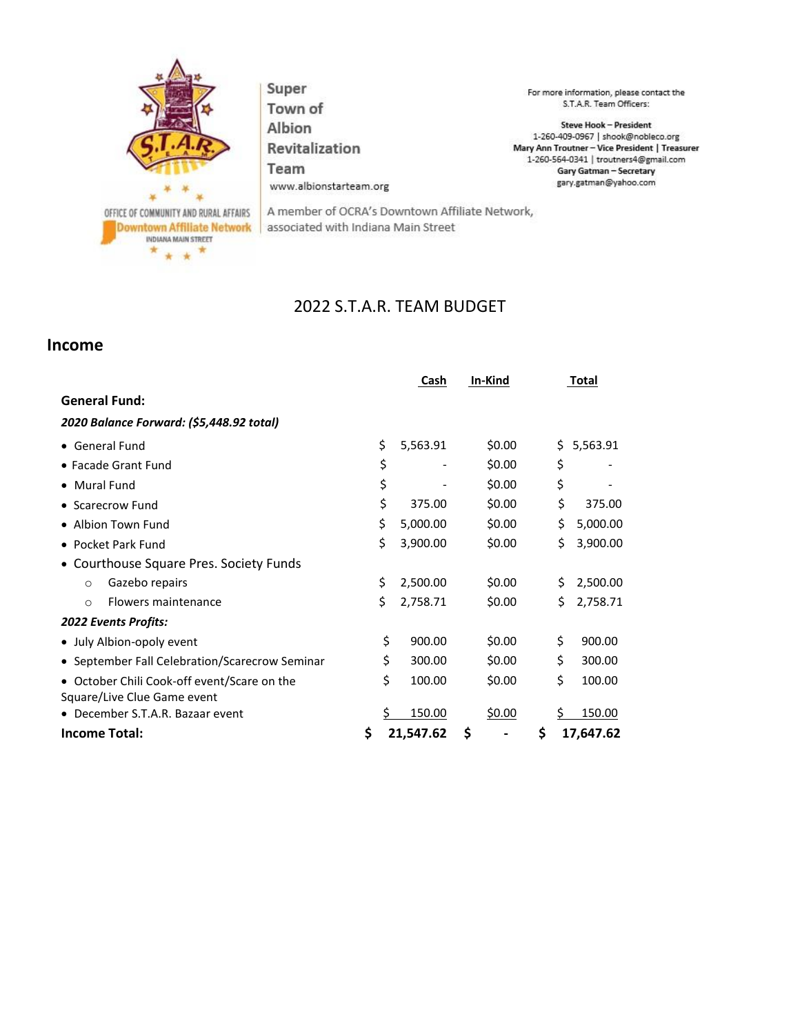

Super Town of Albion Revitalization Team www.albionstarteam.org

For more information, please contact the S.T.A.R. Team Officers:

Steve Hook - President 1-260-409-0967 | shook@nobleco.org Mary Ann Troutner - Vice President | Treasurer 1-260-564-0341 | troutners4@gmail.com Gary Gatman - Secretary gary.gatman@yahoo.com

A member of OCRA's Downtown Affiliate Network, associated with Indiana Main Street

## 2022 S.T.A.R. TEAM BUDGET

## **Income**

|                                                                            | Cash            | In-Kind |    | Total          |
|----------------------------------------------------------------------------|-----------------|---------|----|----------------|
| <b>General Fund:</b>                                                       |                 |         |    |                |
| 2020 Balance Forward: (\$5,448.92 total)                                   |                 |         |    |                |
| • General Fund                                                             | \$<br>5,563.91  | \$0.00  | Ś  | 5,563.91       |
| • Facade Grant Fund                                                        | \$              | \$0.00  | \$ |                |
| • Mural Fund                                                               | \$              | \$0.00  | \$ |                |
| • Scarecrow Fund                                                           | \$<br>375.00    | \$0.00  |    | \$<br>375.00   |
| • Albion Town Fund                                                         | \$<br>5,000.00  | \$0.00  |    | \$<br>5,000.00 |
| • Pocket Park Fund                                                         | \$<br>3,900.00  | \$0.00  |    | \$<br>3,900.00 |
| • Courthouse Square Pres. Society Funds                                    |                 |         |    |                |
| Gazebo repairs<br>$\Omega$                                                 | \$<br>2,500.00  | \$0.00  |    | \$<br>2,500.00 |
| Flowers maintenance<br>$\Omega$                                            | \$<br>2,758.71  | \$0.00  |    | \$<br>2,758.71 |
| <b>2022 Events Profits:</b>                                                |                 |         |    |                |
| • July Albion-opoly event                                                  | \$<br>900.00    | \$0.00  | \$ | 900.00         |
| • September Fall Celebration/Scarecrow Seminar                             | \$<br>300.00    | \$0.00  | \$ | 300.00         |
| • October Chili Cook-off event/Scare on the<br>Square/Live Clue Game event | \$<br>100.00    | \$0.00  | \$ | 100.00         |
| • December S.T.A.R. Bazaar event                                           | 150.00          | \$0.00  | Ś  | 150.00         |
| <b>Income Total:</b>                                                       | \$<br>21,547.62 | \$      | \$ | 17,647.62      |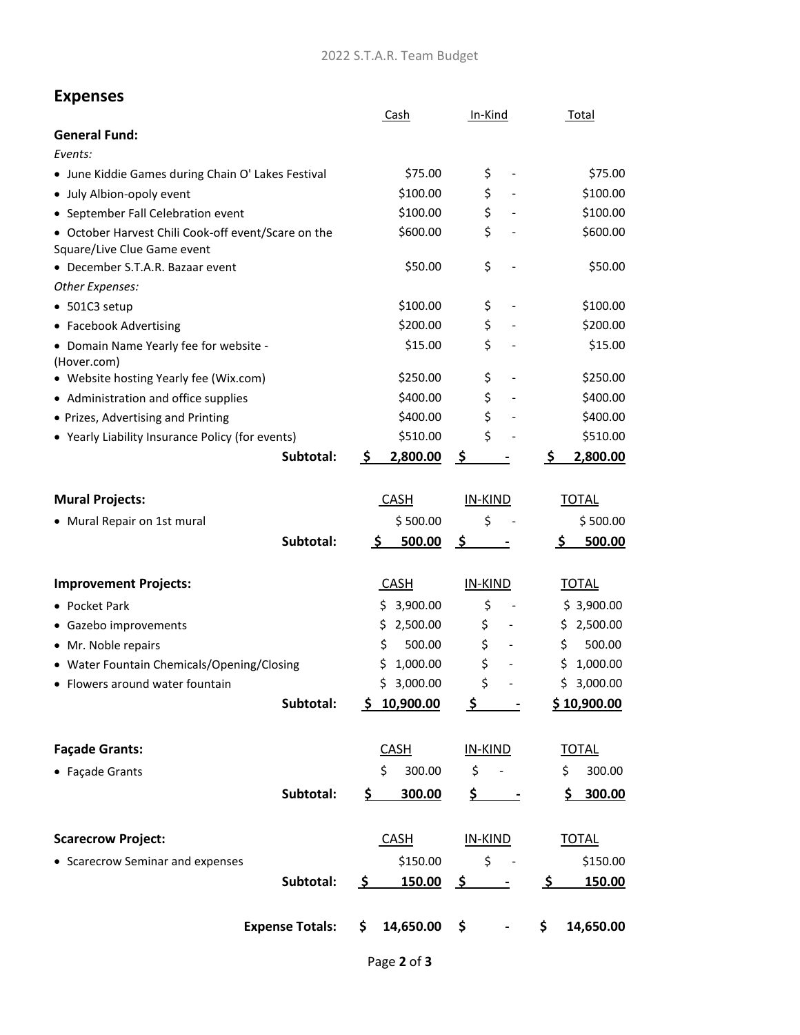## **Expenses**

|                                                                                    | Cash                | In-Kind                        | Total                    |
|------------------------------------------------------------------------------------|---------------------|--------------------------------|--------------------------|
| <b>General Fund:</b>                                                               |                     |                                |                          |
| Events:                                                                            |                     |                                |                          |
| • June Kiddie Games during Chain O' Lakes Festival                                 | \$75.00             | \$                             | \$75.00                  |
| · July Albion-opoly event                                                          | \$100.00            | \$                             | \$100.00                 |
| • September Fall Celebration event                                                 | \$100.00            | \$                             | \$100.00                 |
| • October Harvest Chili Cook-off event/Scare on the<br>Square/Live Clue Game event | \$600.00            | \$                             | \$600.00                 |
| • December S.T.A.R. Bazaar event                                                   | \$50.00             | \$                             | \$50.00                  |
| Other Expenses:                                                                    |                     |                                |                          |
| • 501C3 setup                                                                      | \$100.00            | \$                             | \$100.00                 |
| • Facebook Advertising                                                             | \$200.00            | \$                             | \$200.00                 |
| • Domain Name Yearly fee for website -<br>(Hover.com)                              | \$15.00             | \$                             | \$15.00                  |
| • Website hosting Yearly fee (Wix.com)                                             | \$250.00            | \$                             | \$250.00                 |
| • Administration and office supplies                                               | \$400.00            | \$                             | \$400.00                 |
| • Prizes, Advertising and Printing                                                 | \$400.00            | \$                             | \$400.00                 |
| • Yearly Liability Insurance Policy (for events)                                   | \$510.00            | \$                             | \$510.00                 |
| Subtotal:                                                                          | \$<br>2,800.00      | <u>ځ</u>                       | 2,800.00<br>\$           |
| <b>Mural Projects:</b>                                                             | <b>CASH</b>         | IN-KIND                        | <b>TOTAL</b>             |
| • Mural Repair on 1st mural                                                        | \$500.00            | \$                             | \$500.00                 |
| Subtotal:                                                                          | 500.00<br>\$        | <u>\$</u>                      | 500.00<br>\$             |
| <b>Improvement Projects:</b>                                                       | <b>CASH</b>         | IN-KIND                        | <b>TOTAL</b>             |
| • Pocket Park                                                                      | \$3,900.00          | \$                             | \$3,900.00               |
| • Gazebo improvements                                                              | 2,500.00<br>\$      | \$                             | 2,500.00<br>\$           |
| • Mr. Noble repairs                                                                | \$<br>500.00        | \$                             | \$<br>500.00             |
| • Water Fountain Chemicals/Opening/Closing                                         | 1,000.00<br>S       | \$                             | \$<br>1,000.00           |
| • Flowers around water fountain                                                    | 3,000.00<br>Ś       | \$                             | \$<br>3,000.00           |
| Subtotal:                                                                          | 10,900.00<br>S.     | \$                             | \$10,900.00              |
| <b>Façade Grants:</b>                                                              | <b>CASH</b>         | IN-KIND                        | <b>TOTAL</b>             |
| • Façade Grants                                                                    | \$<br>300.00        | \$                             | 300.00<br>\$             |
| Subtotal:                                                                          | \$.<br>300.00       | \$<br>$\overline{\phantom{a}}$ | 300.00<br>\$.            |
| <b>Scarecrow Project:</b>                                                          | <b>CASH</b>         | IN-KIND                        | <b>TOTAL</b>             |
| • Scarecrow Seminar and expenses                                                   |                     | \$150.00<br>\$                 |                          |
| Subtotal:                                                                          | 150.00<br><u>ي </u> | <u>ي ح</u>                     | \$150.00<br>150.00<br>-Ş |
| <b>Expense Totals:</b>                                                             | 14,650.00<br>\$     | \$                             | 14,650.00<br>\$.         |